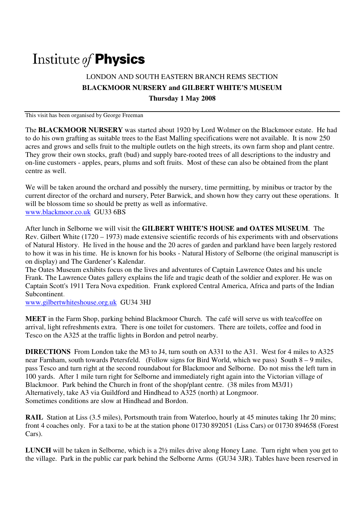# Institute of **Physics**

## LONDON AND SOUTH EASTERN BRANCH REMS SECTION **BLACKMOOR NURSERY and GILBERT WHITE'S MUSEUM Thursday 1 May 2008**

This visit has been organised by George Freeman

The **BLACKMOOR NURSERY** was started about 1920 by Lord Wolmer on the Blackmoor estate. He had to do his own grafting as suitable trees to the East Malling specifications were not available. It is now 250 acres and grows and sells fruit to the multiple outlets on the high streets, its own farm shop and plant centre. They grow their own stocks, graft (bud) and supply bare-rooted trees of all descriptions to the industry and on-line customers - apples, pears, plums and soft fruits. Most of these can also be obtained from the plant centre as well.

We will be taken around the orchard and possibly the nursery, time permitting, by minibus or tractor by the current director of the orchard and nursery, Peter Barwick, and shown how they carry out these operations. It will be blossom time so should be pretty as well as informative. www.blackmoor.co.uk GU33 6BS

After lunch in Selborne we will visit the **GILBERT WHITE'S HOUSE and OATES MUSEUM**. The Rev. Gilbert White (1720 – 1973) made extensive scientific records of his experiments with and observations of Natural History. He lived in the house and the 20 acres of garden and parkland have been largely restored to how it was in his time. He is known for his books - Natural History of Selborne (the original manuscript is on display) and The Gardener's Kalendar.

The Oates Museum exhibits focus on the lives and adventures of Captain Lawrence Oates and his uncle Frank. The Lawrence Oates gallery explains the life and tragic death of the soldier and explorer. He was on Captain Scott's 1911 Tera Nova expedition. Frank explored Central America, Africa and parts of the Indian Subcontinent.

www.gilbertwhiteshouse.org.uk GU34 3HJ

**MEET** in the Farm Shop, parking behind Blackmoor Church. The café will serve us with tea/coffee on arrival, light refreshments extra. There is one toilet for customers. There are toilets, coffee and food in Tesco on the A325 at the traffic lights in Bordon and petrol nearby.

**DIRECTIONS** From London take the M3 to J4, turn south on A331 to the A31. West for 4 miles to A325 near Farnham, south towards Petersfeld. (Follow signs for Bird World, which we pass) South 8 – 9 miles, pass Tesco and turn right at the second roundabout for Blackmoor and Selborne. Do not miss the left turn in 100 yards. After 1 mile turn right for Selborne and immediately right again into the Victorian village of Blackmoor. Park behind the Church in front of the shop/plant centre. (38 miles from M3/J1) Alternatively, take A3 via Guildford and Hindhead to A325 (north) at Longmoor. Sometimes conditions are slow at Hindhead and Bordon.

**RAIL** Station at Liss (3.5 miles), Portsmouth train from Waterloo, hourly at 45 minutes taking 1hr 20 mins; front 4 coaches only. For a taxi to be at the station phone 01730 892051 (Liss Cars) or 01730 894658 (Forest Cars).

**LUNCH** will be taken in Selborne, which is a 2<sup>1</sup>/<sub>2</sub> miles drive along Honey Lane. Turn right when you get to the village. Park in the public car park behind the Selborne Arms (GU34 3JR). Tables have been reserved in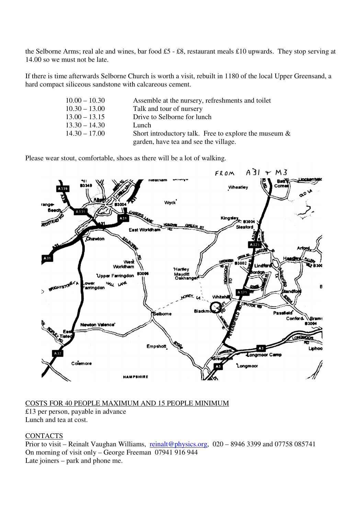the Selborne Arms; real ale and wines, bar food £5 - £8, restaurant meals £10 upwards. They stop serving at 14.00 so we must not be late.

If there is time afterwards Selborne Church is worth a visit, rebuilt in 1180 of the local Upper Greensand, a hard compact siliceous sandstone with calcareous cement.

| $10.00 - 10.30$ | Assemble at the nursery, refreshments and toilet         |
|-----------------|----------------------------------------------------------|
| $10.30 - 13.00$ | Talk and tour of nursery                                 |
| $13.00 - 13.15$ | Drive to Selborne for lunch                              |
| $13.30 - 14.30$ | Lunch                                                    |
| $14.30 - 17.00$ | Short introductory talk. Free to explore the museum $\&$ |
|                 | garden, have tea and see the village.                    |

Please wear stout, comfortable, shoes as there will be a lot of walking.



#### COSTS FOR 40 PEOPLE MAXIMUM AND 15 PEOPLE MINIMUM

£13 per person, payable in advance Lunch and tea at cost.

#### **CONTACTS**

Prior to visit – Reinalt Vaughan Williams, reinalt@physics.org, 020 – 8946 3399 and 07758 085741 On morning of visit only – George Freeman 07941 916 944 Late joiners – park and phone me.